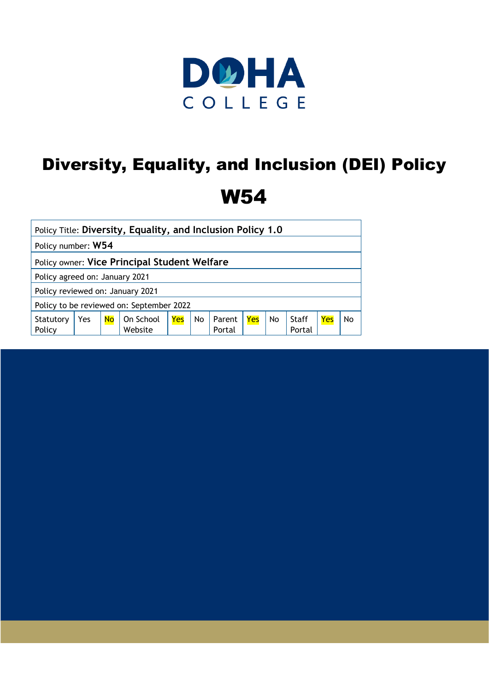

# Diversity, Equality, and Inclusion (DEI) Policy W54

| Policy Title: Diversity, Equality, and Inclusion Policy 1.0 |     |           |                      |     |    |                  |     |    |              |     |    |
|-------------------------------------------------------------|-----|-----------|----------------------|-----|----|------------------|-----|----|--------------|-----|----|
| Policy number: W54                                          |     |           |                      |     |    |                  |     |    |              |     |    |
| Policy owner: Vice Principal Student Welfare                |     |           |                      |     |    |                  |     |    |              |     |    |
| Policy agreed on: January 2021                              |     |           |                      |     |    |                  |     |    |              |     |    |
| Policy reviewed on: January 2021                            |     |           |                      |     |    |                  |     |    |              |     |    |
| Policy to be reviewed on: September 2022                    |     |           |                      |     |    |                  |     |    |              |     |    |
| Statutory<br>Policy                                         | Yes | <b>No</b> | On School<br>Website | Yes | No | Parent<br>Portal | Yes | No | <b>Staff</b> | Yes | No |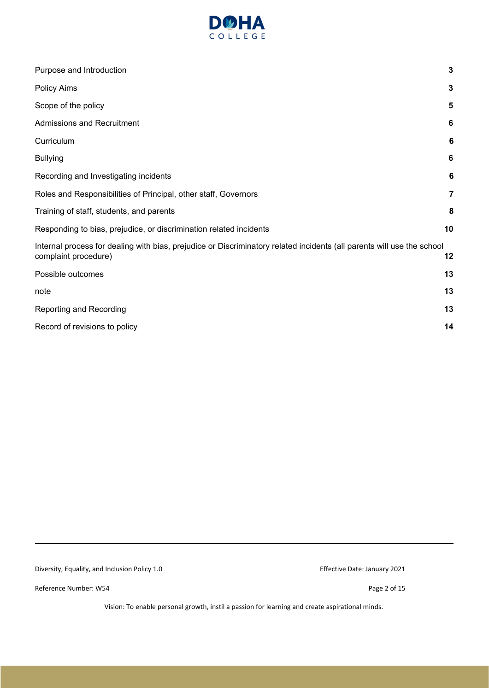

| Purpose and Introduction                                                                                                                       | $\mathbf 3$    |
|------------------------------------------------------------------------------------------------------------------------------------------------|----------------|
| Policy Aims                                                                                                                                    | $\mathbf 3$    |
| Scope of the policy                                                                                                                            | $5\phantom{1}$ |
| <b>Admissions and Recruitment</b>                                                                                                              | 6              |
| Curriculum                                                                                                                                     | 6              |
| <b>Bullying</b>                                                                                                                                | $\bf 6$        |
| Recording and Investigating incidents                                                                                                          | 6              |
| Roles and Responsibilities of Principal, other staff, Governors                                                                                | $\overline{7}$ |
| Training of staff, students, and parents                                                                                                       | 8              |
| Responding to bias, prejudice, or discrimination related incidents                                                                             | 10             |
| Internal process for dealing with bias, prejudice or Discriminatory related incidents (all parents will use the school<br>complaint procedure) | 12             |
| Possible outcomes                                                                                                                              | 13             |
| note                                                                                                                                           | 13             |
| Reporting and Recording                                                                                                                        | 13             |
| Record of revisions to policy                                                                                                                  | 14             |
|                                                                                                                                                |                |

Diversity, Equality, and Inclusion Policy 1.0 extending the state of the Effective Date: January 2021

Reference Number: W54 Page 2 of 15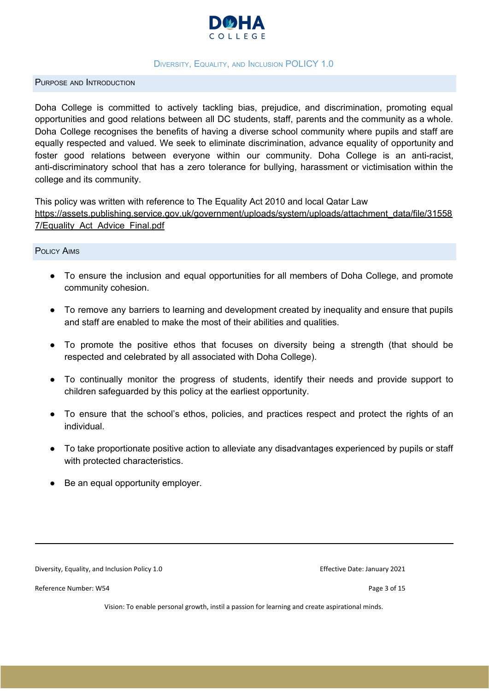

#### DIVERSITY, EQUALITY, AND INCLUSION POLICY 1.0

#### <span id="page-2-0"></span>PURPOSE AND INTRODUCTION

Doha College is committed to actively tackling bias, prejudice, and discrimination, promoting equal opportunities and good relations between all DC students, staff, parents and the community as a whole. Doha College recognises the benefits of having a diverse school community where pupils and staff are equally respected and valued. We seek to eliminate discrimination, advance equality of opportunity and foster good relations between everyone within our community. Doha College is an anti-racist, anti-discriminatory school that has a zero tolerance for bullying, harassment or victimisation within the college and its community.

This policy was written with reference to The Equality Act 2010 and local Qatar Law

[https://assets.publishing.service.gov.uk/government/uploads/system/uploads/attachment\\_data/file/31558](https://assets.publishing.service.gov.uk/government/uploads/system/uploads/attachment_data/file/315587/Equality_Act_Advice_Final.pdf) [7/Equality\\_Act\\_Advice\\_Final.pdf](https://assets.publishing.service.gov.uk/government/uploads/system/uploads/attachment_data/file/315587/Equality_Act_Advice_Final.pdf)

#### <span id="page-2-1"></span>POLICY AIMS

- To ensure the inclusion and equal opportunities for all members of Doha College, and promote community cohesion.
- To remove any barriers to learning and development created by inequality and ensure that pupils and staff are enabled to make the most of their abilities and qualities.
- To promote the positive ethos that focuses on diversity being a strength (that should be respected and celebrated by all associated with Doha College).
- To continually monitor the progress of students, identify their needs and provide support to children safeguarded by this policy at the earliest opportunity.
- To ensure that the school's ethos, policies, and practices respect and protect the rights of an individual.
- To take proportionate positive action to alleviate any disadvantages experienced by pupils or staff with protected characteristics.
- Be an equal opportunity employer.

Diversity, Equality, and Inclusion Policy 1.0 extending the state of the Effective Date: January 2021

Reference Number: W54 Page 3 of 15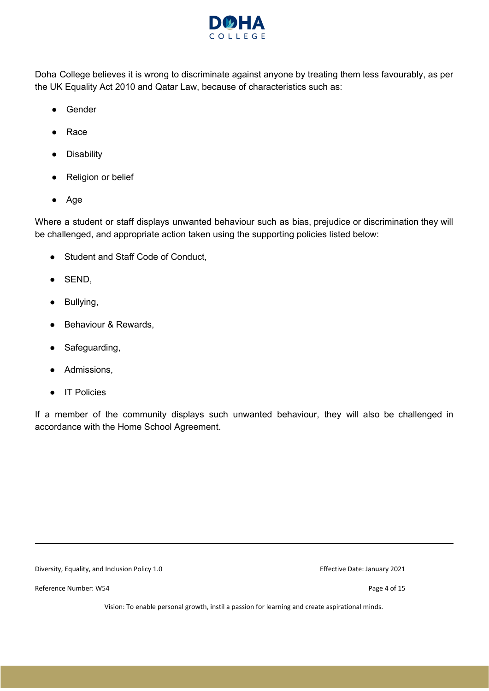

Doha College believes it is wrong to discriminate against anyone by treating them less favourably, as per the UK Equality Act 2010 and Qatar Law, because of characteristics such as:

- Gender
- Race
- Disability
- Religion or belief
- Age

Where a student or staff displays unwanted behaviour such as bias, prejudice or discrimination they will be challenged, and appropriate action taken using the supporting policies listed below:

- Student and Staff Code of Conduct,
- SEND,
- Bullying,
- Behaviour & Rewards.
- Safeguarding,
- Admissions,
- IT Policies

If a member of the community displays such unwanted behaviour, they will also be challenged in accordance with the Home School Agreement.

Diversity, Equality, and Inclusion Policy 1.0 extending the state of the Effective Date: January 2021

Reference Number: W54 Page 4 of 15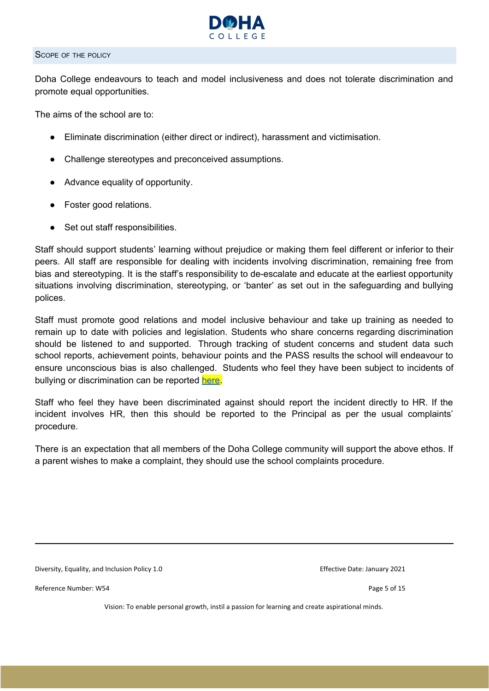

#### <span id="page-4-0"></span>SCOPE OF THE POLICY

Doha College endeavours to teach and model inclusiveness and does not tolerate discrimination and promote equal opportunities.

The aims of the school are to:

- Eliminate discrimination (either direct or indirect), harassment and victimisation.
- Challenge stereotypes and preconceived assumptions.
- Advance equality of opportunity.
- Foster good relations.
- Set out staff responsibilities.

Staff should support students' learning without prejudice or making them feel different or inferior to their peers. All staff are responsible for dealing with incidents involving discrimination, remaining free from bias and stereotyping. It is the staff's responsibility to de-escalate and educate at the earliest opportunity situations involving discrimination, stereotyping, or 'banter' as set out in the safeguarding and bullying polices.

Staff must promote good relations and model inclusive behaviour and take up training as needed to remain up to date with policies and legislation. Students who share concerns regarding discrimination should be listened to and supported. Through tracking of student concerns and student data such school reports, achievement points, behaviour points and the PASS results the school will endeavour to ensure unconscious bias is also challenged. Students who feel they have been subject to incidents of bullying or discrimination can be reported [here](https://docs.google.com/forms/d/1k5znUliV7fqkMgAzinUrfGE9EE9C5bsV6xSXVWpTzaU/edit).

Staff who feel they have been discriminated against should report the incident directly to HR. If the incident involves HR, then this should be reported to the Principal as per the usual complaints' procedure.

There is an expectation that all members of the Doha College community will support the above ethos. If a parent wishes to make a complaint, they should use the school complaints procedure.

Diversity, Equality, and Inclusion Policy 1.0 extending the state of the Effective Date: January 2021

Reference Number: W54 Page 5 of 15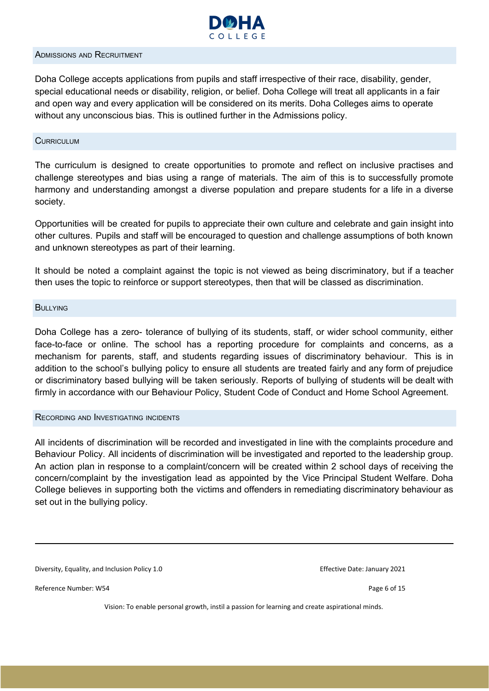

#### <span id="page-5-0"></span>ADMISSIONS AND RECRUITMENT

Doha College accepts applications from pupils and staff irrespective of their race, disability, gender, special educational needs or disability, religion, or belief. Doha College will treat all applicants in a fair and open way and every application will be considered on its merits. Doha Colleges aims to operate without any unconscious bias. This is outlined further in the Admissions policy.

#### <span id="page-5-1"></span>**CURRICULUM**

The curriculum is designed to create opportunities to promote and reflect on inclusive practises and challenge stereotypes and bias using a range of materials. The aim of this is to successfully promote harmony and understanding amongst a diverse population and prepare students for a life in a diverse society.

Opportunities will be created for pupils to appreciate their own culture and celebrate and gain insight into other cultures. Pupils and staff will be encouraged to question and challenge assumptions of both known and unknown stereotypes as part of their learning.

It should be noted a complaint against the topic is not viewed as being discriminatory, but if a teacher then uses the topic to reinforce or support stereotypes, then that will be classed as discrimination.

#### <span id="page-5-2"></span>**BULLYING**

Doha College has a zero- tolerance of bullying of its students, staff, or wider school community, either face-to-face or online. The school has a reporting procedure for complaints and concerns, as a mechanism for parents, staff, and students regarding issues of discriminatory behaviour. This is in addition to the school's bullying policy to ensure all students are treated fairly and any form of prejudice or discriminatory based bullying will be taken seriously. Reports of bullying of students will be dealt with firmly in accordance with our Behaviour Policy, Student Code of Conduct and Home School Agreement.

#### <span id="page-5-3"></span>RECORDING AND INVESTIGATING INCIDENTS

All incidents of discrimination will be recorded and investigated in line with the complaints procedure and Behaviour Policy. All incidents of discrimination will be investigated and reported to the leadership group. An action plan in response to a complaint/concern will be created within 2 school days of receiving the concern/complaint by the investigation lead as appointed by the Vice Principal Student Welfare. Doha College believes in supporting both the victims and offenders in remediating discriminatory behaviour as set out in the bullying policy.

Diversity, Equality, and Inclusion Policy 1.0 extending the state of the Effective Date: January 2021

Reference Number: W54 Page 6 of 15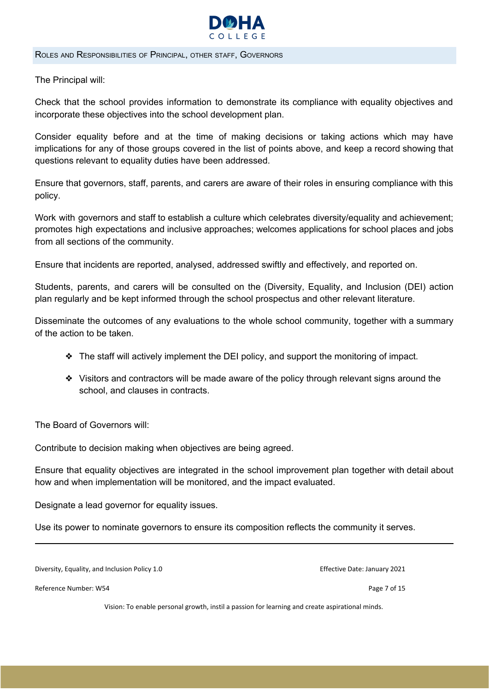

<span id="page-6-0"></span>ROLES AND RESPONSIBILITIES OF PRINCIPAL, OTHER STAFF, GOVERNORS

The Principal will:

Check that the school provides information to demonstrate its compliance with equality objectives and incorporate these objectives into the school development plan.

Consider equality before and at the time of making decisions or taking actions which may have implications for any of those groups covered in the list of points above, and keep a record showing that questions relevant to equality duties have been addressed.

Ensure that governors, staff, parents, and carers are aware of their roles in ensuring compliance with this policy.

Work with governors and staff to establish a culture which celebrates diversity/equality and achievement; promotes high expectations and inclusive approaches; welcomes applications for school places and jobs from all sections of the community.

Ensure that incidents are reported, analysed, addressed swiftly and effectively, and reported on.

Students, parents, and carers will be consulted on the (Diversity, Equality, and Inclusion (DEI) action plan regularly and be kept informed through the school prospectus and other relevant literature.

Disseminate the outcomes of any evaluations to the whole school community, together with a summary of the action to be taken.

- ❖ The staff will actively implement the DEI policy, and support the monitoring of impact.
- ❖ Visitors and contractors will be made aware of the policy through relevant signs around the school, and clauses in contracts.

The Board of Governors will:

Contribute to decision making when objectives are being agreed.

Ensure that equality objectives are integrated in the school improvement plan together with detail about how and when implementation will be monitored, and the impact evaluated.

Designate a lead governor for equality issues.

Use its power to nominate governors to ensure its composition reflects the community it serves.

Diversity, Equality, and Inclusion Policy 1.0 extending the state of the Effective Date: January 2021

Reference Number: W54 Page 7 of 15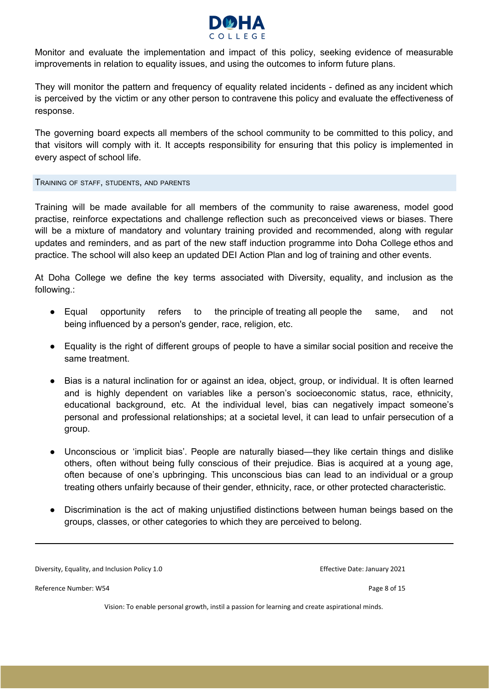

Monitor and evaluate the implementation and impact of this policy, seeking evidence of measurable improvements in relation to equality issues, and using the outcomes to inform future plans.

They will monitor the pattern and frequency of equality related incidents - defined as any incident which is perceived by the victim or any other person to contravene this policy and evaluate the effectiveness of response.

The governing board expects all members of the school community to be committed to this policy, and that visitors will comply with it. It accepts responsibility for ensuring that this policy is implemented in every aspect of school life.

<span id="page-7-0"></span>TRAINING OF STAFF, STUDENTS, AND PARENTS

Training will be made available for all members of the community to raise awareness, model good practise, reinforce expectations and challenge reflection such as preconceived views or biases. There will be a mixture of mandatory and voluntary training provided and recommended, along with regular updates and reminders, and as part of the new staff induction programme into Doha College ethos and practice. The school will also keep an updated DEI Action Plan and log of training and other events.

At Doha College we define the key terms associated with Diversity, equality, and inclusion as the following.:

- Equal opportunity refers to the principle of treating all people the same, and not being influenced by a person's gender, race, religion, etc.
- Equality is the right of different groups of people to have a similar social position and receive the same treatment.
- Bias is a natural inclination for or against an idea, object, group, or individual. It is often learned and is highly dependent on variables like a person's socioeconomic status, race, ethnicity, educational background, etc. At the individual level, bias can negatively impact someone's personal and professional relationships; at a societal level, it can lead to unfair persecution of a group.
- Unconscious or 'implicit bias'. People are naturally biased—they like certain things and dislike others, often without being fully conscious of their prejudice. Bias is acquired at a young age, often because of one's upbringing. This unconscious bias can lead to an individual or a group treating others unfairly because of their gender, ethnicity, race, or other protected characteristic.
- Discrimination is the act of making unjustified distinctions between human beings based on the groups, classes, or other categories to which they are perceived to belong.

Diversity, Equality, and Inclusion Policy 1.0 extending the state of the Effective Date: January 2021

Reference Number: W54 Page 8 of 15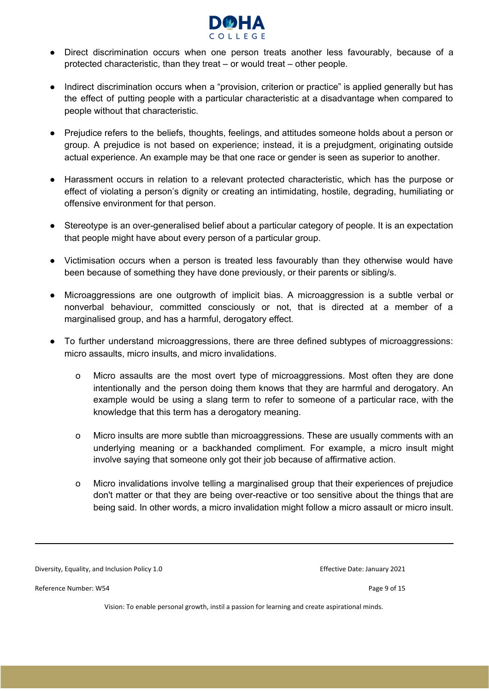

- Direct discrimination occurs when one person treats another less favourably, because of a protected characteristic, than they treat – or would treat – other people.
- Indirect discrimination occurs when a "provision, criterion or practice" is applied generally but has the effect of putting people with a particular characteristic at a disadvantage when compared to people without that characteristic.
- Prejudice refers to the beliefs, thoughts, feelings, and attitudes someone holds about a person or group. A prejudice is not based on experience; instead, it is a prejudgment, originating outside actual experience. An example may be that one race or gender is seen as superior to another.
- Harassment occurs in relation to a relevant protected characteristic, which has the purpose or effect of violating a person's dignity or creating an intimidating, hostile, degrading, humiliating or offensive environment for that person.
- Stereotype is an over-generalised belief about a particular category of people. It is an expectation that people might have about every person of a particular group.
- Victimisation occurs when a person is treated less favourably than they otherwise would have been because of something they have done previously, or their parents or sibling/s.
- Microaggressions are one outgrowth of implicit bias. A microaggression is a subtle verbal or nonverbal behaviour, committed consciously or not, that is directed at a member of a marginalised group, and has a harmful, derogatory effect.
- To further understand microaggressions, there are three defined subtypes of microaggressions: micro assaults, micro insults, and micro invalidations.
	- o Micro assaults are the most overt type of microaggressions. Most often they are done intentionally and the person doing them knows that they are harmful and derogatory. An example would be using a slang term to refer to someone of a particular race, with the knowledge that this term has a derogatory meaning.
	- o Micro insults are more subtle than microaggressions. These are usually comments with an underlying meaning or a backhanded compliment. For example, a micro insult might involve saying that someone only got their job because of affirmative action.
	- o Micro invalidations involve telling a marginalised group that their experiences of prejudice don't matter or that they are being over-reactive or too sensitive about the things that are being said. In other words, a micro invalidation might follow a micro assault or micro insult.

Diversity, Equality, and Inclusion Policy 1.0 extending the state of the Effective Date: January 2021

Reference Number: W54 Page 9 of 15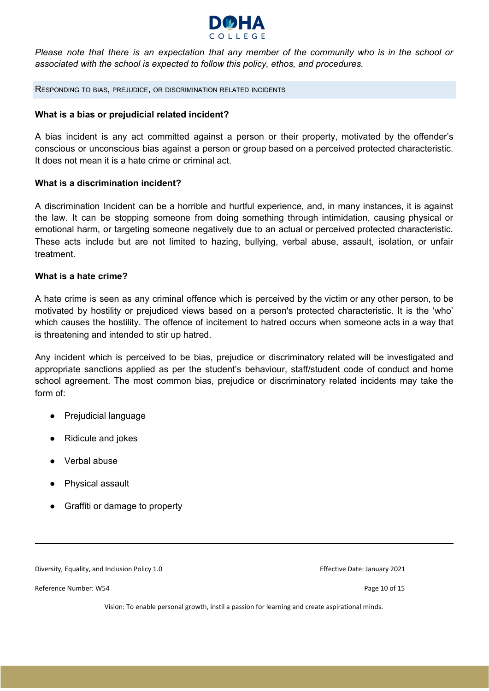

Please note that there is an expectation that any member of the community who is in the school or *associated with the school is expected to follow this policy, ethos, and procedures.*

<span id="page-9-0"></span>RESPONDING TO BIAS, PREJUDICE, OR DISCRIMINATION RELATED INCIDENTS

#### **What is a bias or prejudicial related incident?**

A bias incident is any act committed against a person or their property, motivated by the offender's conscious or unconscious bias against a person or group based on a perceived protected characteristic. It does not mean it is a hate crime or criminal act.

#### **What is a discrimination incident?**

A discrimination Incident can be a horrible and hurtful experience, and, in many instances, it is against the law. It can be stopping someone from doing something through intimidation, causing physical or emotional harm, or targeting someone negatively due to an actual or perceived protected characteristic. These acts include but are not limited to hazing, bullying, verbal abuse, assault, isolation, or unfair treatment.

#### **What is a hate crime?**

A hate crime is seen as any criminal offence which is perceived by the victim or any other person, to be motivated by hostility or prejudiced views based on a person's protected characteristic. It is the 'who' which causes the hostility. The offence of incitement to hatred occurs when someone acts in a way that is threatening and intended to stir up hatred.

Any incident which is perceived to be bias, prejudice or discriminatory related will be investigated and appropriate sanctions applied as per the student's behaviour, staff/student code of conduct and home school agreement. The most common bias, prejudice or discriminatory related incidents may take the form of:

- Prejudicial language
- Ridicule and jokes
- Verbal abuse
- Physical assault
- Graffiti or damage to property

Diversity, Equality, and Inclusion Policy 1.0 extending the state of the Effective Date: January 2021

Reference Number: W54 Page 10 of 15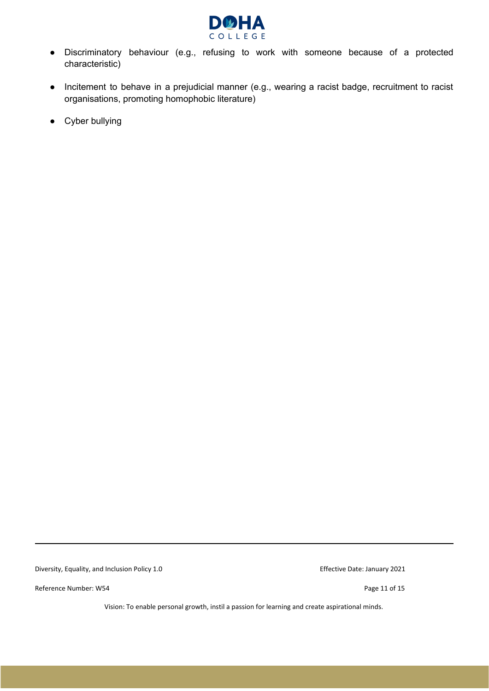

- Discriminatory behaviour (e.g., refusing to work with someone because of a protected characteristic)
- Incitement to behave in a prejudicial manner (e.g., wearing a racist badge, recruitment to racist organisations, promoting homophobic literature)
- Cyber bullying

Diversity, Equality, and Inclusion Policy 1.0 extending the state of the Effective Date: January 2021

Reference Number: W54 Page 11 of 15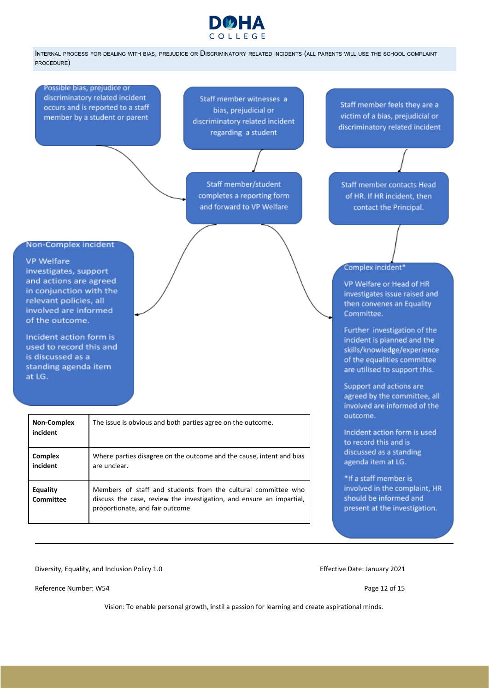

<span id="page-11-0"></span>INTERNAL PROCESS FOR DEALING WITH BIAS, PREJUDICE OR DISCRIMINATORY RELATED INCIDENTS (ALL PARENTS WILL USE THE SCHOOL COMPLAINT PROCEDURE)

Possible bias, prejudice or discriminatory related incident occurs and is reported to a staff member by a student or parent

Staff member witnesses a bias, prejudicial or discriminatory related incident regarding a student

Staff member/student completes a reporting form and forward to VP Welfare

Staff member feels they are a victim of a bias, prejudicial or discriminatory related incident

Staff member contacts Head of HR. If HR incident, then contact the Principal.

#### Complex incident\*

VP Welfare or Head of HR investigates issue raised and then convenes an Equality Committee.

Further investigation of the incident is planned and the skills/knowledge/experience of the equalities committee are utilised to support this.

Support and actions are agreed by the committee, all involved are informed of the outcome.

Incident action form is used to record this and is discussed as a standing agenda item at LG.

\*If a staff member is involved in the complaint, HR should be informed and present at the investigation.

#### Non-Complex incident

#### **VP Welfare**

investigates, support and actions are agreed in conjunction with the relevant policies, all involved are informed of the outcome.

Incident action form is used to record this and is discussed as a standing agenda item at LG.

| <b>Non-Complex</b><br>incident | The issue is obvious and both parties agree on the outcome.                                                                                                              |
|--------------------------------|--------------------------------------------------------------------------------------------------------------------------------------------------------------------------|
| <b>Complex</b><br>incident     | Where parties disagree on the outcome and the cause, intent and bias<br>are unclear.                                                                                     |
| <b>Equality</b><br>Committee   | Members of staff and students from the cultural committee who<br>discuss the case, review the investigation, and ensure an impartial,<br>proportionate, and fair outcome |

Diversity, Equality, and Inclusion Policy 1.0 extending the state of the Effective Date: January 2021

Reference Number: W54 Page 12 of 15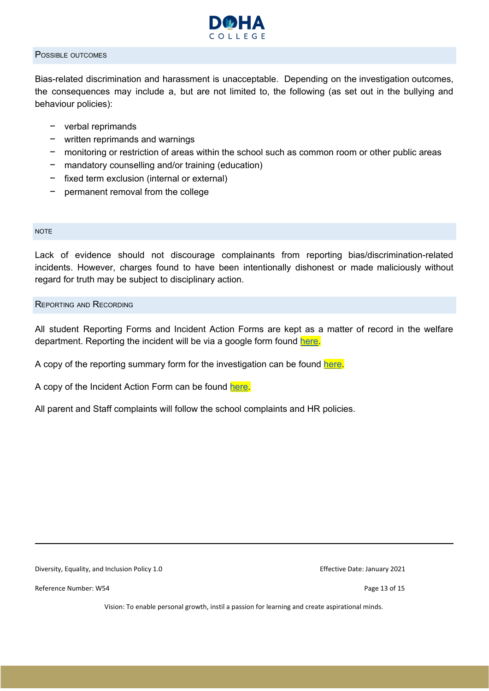

#### <span id="page-12-0"></span>POSSIBLE OUTCOMES

Bias-related discrimination and harassment is unacceptable. Depending on the investigation outcomes, the consequences may include a, but are not limited to, the following (as set out in the bullying and behaviour policies):

- − verbal reprimands
- − written reprimands and warnings
- − monitoring or restriction of areas within the school such as common room or other public areas
- mandatory counselling and/or training (education)
- − fixed term exclusion (internal or external)
- permanent removal from the college

#### <span id="page-12-1"></span>**NOTE**

Lack of evidence should not discourage complainants from reporting bias/discrimination-related incidents. However, charges found to have been intentionally dishonest or made maliciously without regard for truth may be subject to disciplinary action.

#### <span id="page-12-2"></span>REPORTING AND RECORDING

All student Reporting Forms and Incident Action Forms are kept as a matter of record in the welfare department. Reporting the incident will be via a google form found [here](https://docs.google.com/forms/d/1k5znUliV7fqkMgAzinUrfGE9EE9C5bsV6xSXVWpTzaU/edit).

A copy of the reporting summary form for the investigation can be found [here.](https://drive.google.com/file/d/1kDpdgQgydjyO3c4jlDRn_Wn8m3l3iXRG/view?usp=sharing)

A copy of the Incident Action Form can be found [here.](https://docs.google.com/document/d/1NE151hU-_rRdB1jVRLbfiZT99AxIy69L/edit)

All parent and Staff complaints will follow the school complaints and HR policies.

Diversity, Equality, and Inclusion Policy 1.0 extending the state of the Effective Date: January 2021

Reference Number: W54 Page 13 of 15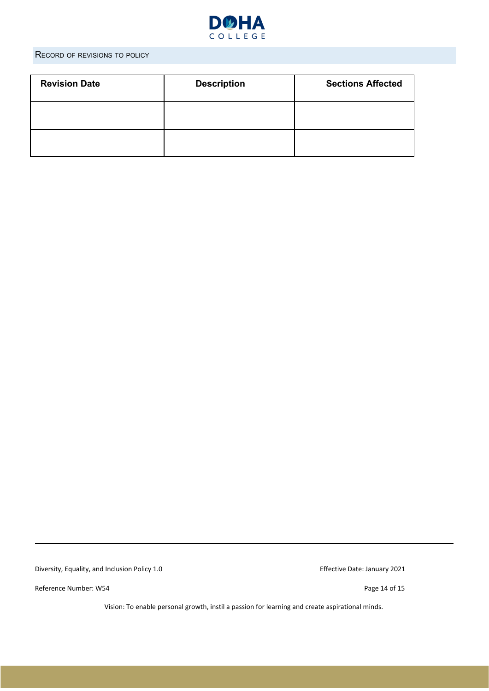

### <span id="page-13-0"></span>RECORD OF REVISIONS TO POLICY

| <b>Revision Date</b> | <b>Description</b> | <b>Sections Affected</b> |
|----------------------|--------------------|--------------------------|
|                      |                    |                          |
|                      |                    |                          |

Diversity, Equality, and Inclusion Policy 1.0 extending the state of the Effective Date: January 2021

Reference Number: W54 Page 14 of 15